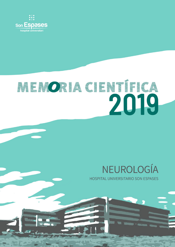

# MEMORIA CIENTÍFICA

### NEUROLOGÍA **HOSPITAL UNIVERSITARIO SON ESPASES**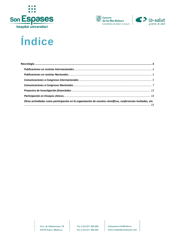





## Índice

| Otras actividades como participación en la organización de eventos científicos, conferencias invitadas, etc. |  |
|--------------------------------------------------------------------------------------------------------------|--|
|                                                                                                              |  |

Ctra. de Valldemossa, 79 07010 Palma. Mallorca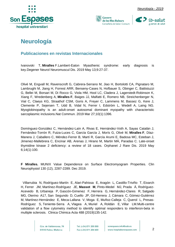







#### <span id="page-2-0"></span>**Neurología**

#### <span id="page-2-1"></span>**Publicaciones en revistas Internacionales**

Ivanovski T, **Miralles** F.Lambert-Eaton Myasthenic syndrome: early diagnosis is key.Degener Neurol Neuromuscul Dis. 2019 May 13;9:27-37.

Olivé M, Engvall M, Ravenscroft G, Cabrera-Serrano M, Jiao H, Bortolotti CA, Pignataro M, Lambrughi M, Jiang H, Forrest ARR, Benseny-Cases N, Hofbauer S, Obinger C, Battistuzzi G, Bellei M, Borsari M, Di Rocco G, Viola HM, Hool LC, Cladera J, Lagerstedt-Robinson K, Xiang F, Wredenberg A, **Miralles F**, Baiges JJ, Malfatti E, Romero NB, Streichenberger N, Vial C, Claeys KG, Straathof CSM, Goris A, Freyer C, Lammens M, Bassez G, Kere J, Clemente P, Sejersen T, Udd B, Vidal N, Ferrer I, Edström L, Wedell A, Laing NG. Myoglobinopathy is an adult-onset autosomal dominant myopathy with characteristic sarcoplasmic inclusions.Nat Commun. 2019 Mar 27;10(1):1396.

Domínguez-González C, Hernández-Laín A, Rivas E, Hernández-Voth A, Sayas Catalán J, Fernández-Torrón R, Fuiza-Luces C, García García J, Morís G, Olivé M, **Miralles F**, Díaz-Manera J, Caballero C, Méndez-Ferrer B, Martí R, García Arumi E, Badosa MC, Esteban J, Jimenez-Mallebrera C, Encinar AB, Arenas J, Hirano M, Martin MÁ, Paradas C. Late-onset thymidine kinase 2 deficiency: a review of 18 cases. Orphanet J Rare Dis. 2019 May 6;14(1):100.

**F Miralles.** MUNIX Value Dependence on Surface Electromyogram Properties. Clin Neurophysiol 130 (12), 2287-2289. Dec 2019.

 [Villarrubia N,](https://correu.ssib.es/owa/redir.aspx?C=0Nh2FujtSZbAhXK098_cNhhr-yFfjnwPKOOtYfvvhpck3GpCrKDXCA..&URL=https%3a%2f%2fwww.ncbi.nlm.nih.gov%2fpubmed%2f%3fterm%3dVillarrubia%25252520N%2525255BAuthor%2525255D%26cauthor%3dtrue%26cauthor_uid%3d30408481) [Rodríguez-Martín E,](https://correu.ssib.es/owa/redir.aspx?C=Q8p3elaORmS0WPtMSXtF6S8maRpv2gCuBJh-6F_fM2sk3GpCrKDXCA..&URL=https%3a%2f%2fwww.ncbi.nlm.nih.gov%2fpubmed%2f%3fterm%3dRodr%252525C3%252525ADguez-Mart%252525C3%252525ADn%25252520E%2525255BAuthor%2525255D%26cauthor%3dtrue%26cauthor_uid%3d30408481) [Alari-Pahissa E,](https://correu.ssib.es/owa/redir.aspx?C=rYKR-FvvIqFFy9pApFfoIlrwjczar59BYlI-pWmtpNUk3GpCrKDXCA..&URL=https%3a%2f%2fwww.ncbi.nlm.nih.gov%2fpubmed%2f%3fterm%3dAlari-Pahissa%25252520E%2525255BAuthor%2525255D%26cauthor%3dtrue%26cauthor_uid%3d30408481) [Aragón L,](https://correu.ssib.es/owa/redir.aspx?C=R_5RYpD8L6OAIgne35IBH63_eC-Kgz8zmEhyo3FqFtQk3GpCrKDXCA..&URL=https%3a%2f%2fwww.ncbi.nlm.nih.gov%2fpubmed%2f%3fterm%3dArag%252525C3%252525B3n%25252520L%2525255BAuthor%2525255D%26cauthor%3dtrue%26cauthor_uid%3d30408481) [Castillo-Triviño T,](https://correu.ssib.es/owa/redir.aspx?C=RP-KHnp2w4uPcSroYd8dq86Fh1TdeZMqXDytyVoeXf8k3GpCrKDXCA..&URL=https%3a%2f%2fwww.ncbi.nlm.nih.gov%2fpubmed%2f%3fterm%3dCastillo-Trivi%252525C3%252525B1o%25252520T%2525255BAuthor%2525255D%26cauthor%3dtrue%26cauthor_uid%3d30408481) [Eixarch](https://correu.ssib.es/owa/redir.aspx?C=0YzjEbWhxXUo_s9N_rCTfNtYuai1vdD45T8xk6r5X_ck3GpCrKDXCA..&URL=https%3a%2f%2fwww.ncbi.nlm.nih.gov%2fpubmed%2f%3fterm%3dEixarch%25252520H%2525255BAuthor%2525255D%26cauthor%3dtrue%26cauthor_uid%3d30408481)  [H,](https://correu.ssib.es/owa/redir.aspx?C=0YzjEbWhxXUo_s9N_rCTfNtYuai1vdD45T8xk6r5X_ck3GpCrKDXCA..&URL=https%3a%2f%2fwww.ncbi.nlm.nih.gov%2fpubmed%2f%3fterm%3dEixarch%25252520H%2525255BAuthor%2525255D%26cauthor%3dtrue%26cauthor_uid%3d30408481) [Ferrer JM,](https://correu.ssib.es/owa/redir.aspx?C=fuYy3Z7VatVovUj6DHo2RZBUIe2S5t1z7iUCC1u-_A8k3GpCrKDXCA..&URL=https%3a%2f%2fwww.ncbi.nlm.nih.gov%2fpubmed%2f%3fterm%3dFerrer%25252520JM%2525255BAuthor%2525255D%26cauthor%3dtrue%26cauthor_uid%3d30408481) [Martínez-Rodríguez JE,](https://correu.ssib.es/owa/redir.aspx?C=LCybVxfMjkuXy9gBNOFUJ4reLQyVsA3ZkWB7gRIFgmMk3GpCrKDXCA..&URL=https%3a%2f%2fwww.ncbi.nlm.nih.gov%2fpubmed%2f%3fterm%3dMart%252525C3%252525ADnez-Rodr%252525C3%252525ADguez%25252520JE%2525255BAuthor%2525255D%26cauthor%3dtrue%26cauthor_uid%3d30408481) **[Massot M](https://correu.ssib.es/owa/redir.aspx?C=H-uMB3ZeZC4kJiSRZH7vuPhsXcv53QFlc5gxemw3Fpwk3GpCrKDXCA..&URL=https%3a%2f%2fwww.ncbi.nlm.nih.gov%2fpubmed%2f%3fterm%3dMassot%25252520M%2525255BAuthor%2525255D%26cauthor%3dtrue%26cauthor_uid%3d30408481)**, [Pinto-Medel MJ,](https://correu.ssib.es/owa/redir.aspx?C=j6dYHWOCVH7UhVu62LlhSBT6B6wHGzYGhaNqMsSF2DYk3GpCrKDXCA..&URL=https%3a%2f%2fwww.ncbi.nlm.nih.gov%2fpubmed%2f%3fterm%3dPinto-Medel%25252520MJ%2525255BAuthor%2525255D%26cauthor%3dtrue%26cauthor_uid%3d30408481) [Prada Á,](https://correu.ssib.es/owa/redir.aspx?C=512YIdEm-lodJp7qxbffDDghbA2W9WQQ6mZFpG_g2d4k3GpCrKDXCA..&URL=https%3a%2f%2fwww.ncbi.nlm.nih.gov%2fpubmed%2f%3fterm%3dPrada%25252520%252525C3%25252581%2525255BAuthor%2525255D%26cauthor%3dtrue%26cauthor_uid%3d30408481) [Rodríguez-](https://correu.ssib.es/owa/redir.aspx?C=AOqgRuYj5JgjTIqiQcbamm-ovlV_nbfOe0dI6fn-7Cck3GpCrKDXCA..&URL=https%3a%2f%2fwww.ncbi.nlm.nih.gov%2fpubmed%2f%3fterm%3dRodr%252525C3%252525ADguez-Acevedo%25252520B%2525255BAuthor%2525255D%26cauthor%3dtrue%26cauthor_uid%3d30408481)[Acevedo B,](https://correu.ssib.es/owa/redir.aspx?C=AOqgRuYj5JgjTIqiQcbamm-ovlV_nbfOe0dI6fn-7Cck3GpCrKDXCA..&URL=https%3a%2f%2fwww.ncbi.nlm.nih.gov%2fpubmed%2f%3fterm%3dRodr%252525C3%252525ADguez-Acevedo%25252520B%2525255BAuthor%2525255D%26cauthor%3dtrue%26cauthor_uid%3d30408481) [Urbaneja P,](https://correu.ssib.es/owa/redir.aspx?C=GztU4bkEqYXDwo7vjQNQnyUexXKWCv0kVkiMe9TqK8wk3GpCrKDXCA..&URL=https%3a%2f%2fwww.ncbi.nlm.nih.gov%2fpubmed%2f%3fterm%3dUrbaneja%25252520P%2525255BAuthor%2525255D%26cauthor%3dtrue%26cauthor_uid%3d30408481) [Gascón-Gimenez F,](https://correu.ssib.es/owa/redir.aspx?C=P63I7GlCh1FY1ToHrD0VfcTEKKOfi9yVJ3Azo2ftusUk3GpCrKDXCA..&URL=https%3a%2f%2fwww.ncbi.nlm.nih.gov%2fpubmed%2f%3fterm%3dGasc%252525C3%252525B3n-Gimenez%25252520F%2525255BAuthor%2525255D%26cauthor%3dtrue%26cauthor_uid%3d30408481) [Herrera G,](https://correu.ssib.es/owa/redir.aspx?C=7-E02GDz4jY-Wo_MKpPYXpt5RnYor588QKIi3N0HnfAk3GpCrKDXCA..&URL=https%3a%2f%2fwww.ncbi.nlm.nih.gov%2fpubmed%2f%3fterm%3dHerrera%25252520G%2525255BAuthor%2525255D%26cauthor%3dtrue%26cauthor_uid%3d30408481) [Hernández-Clares R,](https://correu.ssib.es/owa/redir.aspx?C=0CbtGCJiX1e3mvLmhLylzq9nYXswmC-hzfHNXiSRiBgk3GpCrKDXCA..&URL=https%3a%2f%2fwww.ncbi.nlm.nih.gov%2fpubmed%2f%3fterm%3dHern%252525C3%252525A1ndez-Clares%25252520R%2525255BAuthor%2525255D%26cauthor%3dtrue%26cauthor_uid%3d30408481) [Salgado](https://correu.ssib.es/owa/redir.aspx?C=JcrivjQ2geO74yk_j1laRxBU-4RpcM_j8F1jGyaOV3sk3GpCrKDXCA..&URL=https%3a%2f%2fwww.ncbi.nlm.nih.gov%2fpubmed%2f%3fterm%3dSalgado%25252520MG%2525255BAuthor%2525255D%26cauthor%3dtrue%26cauthor_uid%3d30408481)  [MG,](https://correu.ssib.es/owa/redir.aspx?C=JcrivjQ2geO74yk_j1laRxBU-4RpcM_j8F1jGyaOV3sk3GpCrKDXCA..&URL=https%3a%2f%2fwww.ncbi.nlm.nih.gov%2fpubmed%2f%3fterm%3dSalgado%25252520MG%2525255BAuthor%2525255D%26cauthor%3dtrue%26cauthor_uid%3d30408481) [Oterino A1](https://correu.ssib.es/owa/redir.aspx?C=lcDj_B71ZzEfTqQrgxW8EjtEw_qqqdKNeGEq-vvT7_Yk3GpCrKDXCA..&URL=https%3a%2f%2fwww.ncbi.nlm.nih.gov%2fpubmed%2f%3fterm%3dOterino%25252520A%2525255BAuthor%2525255D%26cauthor%3dtrue%26cauthor_uid%3d30408481)7, [San Segundo D,](https://correu.ssib.es/owa/redir.aspx?C=ISmMPePNlcyOrFj-_9EKUnOPwMLSr3SUxebw69Doq_Qk3GpCrKDXCA..&URL=https%3a%2f%2fwww.ncbi.nlm.nih.gov%2fpubmed%2f%3fterm%3dSan%25252520Segundo%25252520D%2525255BAuthor%2525255D%26cauthor%3dtrue%26cauthor_uid%3d30408481) [Cuello JP,](https://correu.ssib.es/owa/redir.aspx?C=Pd5hXm5kmRC4lmhv0xA_cMXu6mWqr_Ed4mc6EaR4Qzck3GpCrKDXCA..&URL=https%3a%2f%2fwww.ncbi.nlm.nih.gov%2fpubmed%2f%3fterm%3dCuello%25252520JP%2525255BAuthor%2525255D%26cauthor%3dtrue%26cauthor_uid%3d30408481) [Gil-Herrera J,](https://correu.ssib.es/owa/redir.aspx?C=Y2D0cDP6S8rHfuzCg77Tk765QcjIFiOrUBBVErBn2s8k3GpCrKDXCA..&URL=https%3a%2f%2fwww.ncbi.nlm.nih.gov%2fpubmed%2f%3fterm%3dGil-Herrera%25252520J%2525255BAuthor%2525255D%26cauthor%3dtrue%26cauthor_uid%3d30408481) [Cámara C,](https://correu.ssib.es/owa/redir.aspx?C=ZfmQ4R8CPbX0WKqpjqcUumsIx-bav8Qyphk-OZKpP-gk3GpCrKDXCA..&URL=https%3a%2f%2fwww.ncbi.nlm.nih.gov%2fpubmed%2f%3fterm%3dC%252525C3%252525A1mara%25252520C%2525255BAuthor%2525255D%26cauthor%3dtrue%26cauthor_uid%3d30408481) [Gómez-Gutiérrez](https://correu.ssib.es/owa/redir.aspx?C=qyjQVN7VGQPPuWCj33CEPJiB9sCbXsh-mcwBwMI074Ik3GpCrKDXCA..&URL=https%3a%2f%2fwww.ncbi.nlm.nih.gov%2fpubmed%2f%3fterm%3dG%252525C3%252525B3mez-Guti%252525C3%252525A9rrez%25252520M%2525255BAuthor%2525255D%26cauthor%3dtrue%26cauthor_uid%3d30408481)  [M,](https://correu.ssib.es/owa/redir.aspx?C=qyjQVN7VGQPPuWCj33CEPJiB9sCbXsh-mcwBwMI074Ik3GpCrKDXCA..&URL=https%3a%2f%2fwww.ncbi.nlm.nih.gov%2fpubmed%2f%3fterm%3dG%252525C3%252525B3mez-Guti%252525C3%252525A9rrez%25252520M%2525255BAuthor%2525255D%26cauthor%3dtrue%26cauthor_uid%3d30408481) [Martínez-Hernández E,](https://correu.ssib.es/owa/redir.aspx?C=mqRjoQnfdY2hJV0376jLNqtsC_ACfrLqMmPzyiVuq3Mk3GpCrKDXCA..&URL=https%3a%2f%2fwww.ncbi.nlm.nih.gov%2fpubmed%2f%3fterm%3dMart%252525C3%252525ADnez-Hern%252525C3%252525A1ndez%25252520E%2525255BAuthor%2525255D%26cauthor%3dtrue%26cauthor_uid%3d30408481) [Meca-Lallana V,](https://correu.ssib.es/owa/redir.aspx?C=2_blGIDT95pt-ADPaiYNX34M_96Zf33ZzcMGpYF5QoMk3GpCrKDXCA..&URL=https%3a%2f%2fwww.ncbi.nlm.nih.gov%2fpubmed%2f%3fterm%3dMeca-Lallana%25252520V%2525255BAuthor%2525255D%26cauthor%3dtrue%26cauthor_uid%3d30408481) [Moga E,](https://correu.ssib.es/owa/redir.aspx?C=V6yjvpnC_rCaTSIDondzyDYSJTN4hYQW1hphrRPjE7Yk3GpCrKDXCA..&URL=https%3a%2f%2fwww.ncbi.nlm.nih.gov%2fpubmed%2f%3fterm%3dMoga%25252520E%2525255BAuthor%2525255D%26cauthor%3dtrue%26cauthor_uid%3d30408481) [Muñoz-Calleja C,](https://correu.ssib.es/owa/redir.aspx?C=AT4cEi0r65WmJQFbHh2zyr3_0xhIxx5GZUmNdw5mRLUk3GpCrKDXCA..&URL=https%3a%2f%2fwww.ncbi.nlm.nih.gov%2fpubmed%2f%3fterm%3dMu%252525C3%252525B1oz-Calleja%25252520C%2525255BAuthor%2525255D%26cauthor%3dtrue%26cauthor_uid%3d30408481) [Querol L,](https://correu.ssib.es/owa/redir.aspx?C=nEv-N9sVkl6kF6Ar_1O134JdikVBcrOFDASMxQ1Fqgok3GpCrKDXCA..&URL=https%3a%2f%2fwww.ncbi.nlm.nih.gov%2fpubmed%2f%3fterm%3dQuerol%25252520L%2525255BAuthor%2525255D%26cauthor%3dtrue%26cauthor_uid%3d30408481) [Presas-](https://correu.ssib.es/owa/redir.aspx?C=hpIjACgvXgZdti1q9W9l4sCYCd5JYm0kIc1HNkkFECUk3GpCrKDXCA..&URL=https%3a%2f%2fwww.ncbi.nlm.nih.gov%2fpubmed%2f%3fterm%3dPresas-Rodr%252525C3%252525ADguez%25252520S%2525255BAuthor%2525255D%26cauthor%3dtrue%26cauthor_uid%3d30408481)[Rodríguez S,](https://correu.ssib.es/owa/redir.aspx?C=hpIjACgvXgZdti1q9W9l4sCYCd5JYm0kIc1HNkkFECUk3GpCrKDXCA..&URL=https%3a%2f%2fwww.ncbi.nlm.nih.gov%2fpubmed%2f%3fterm%3dPresas-Rodr%252525C3%252525ADguez%25252520S%2525255BAuthor%2525255D%26cauthor%3dtrue%26cauthor_uid%3d30408481) [Teniente-Serra A,](https://correu.ssib.es/owa/redir.aspx?C=dOfgB7LLVplPsaVTfQaZjdlqqjt0DxutNhoj6hxhCyUk3GpCrKDXCA..&URL=https%3a%2f%2fwww.ncbi.nlm.nih.gov%2fpubmed%2f%3fterm%3dTeniente-Serra%25252520A%2525255BAuthor%2525255D%26cauthor%3dtrue%26cauthor_uid%3d30408481) [Vlagea A,](https://correu.ssib.es/owa/redir.aspx?C=ZcFzjIK6gIkFZ6YQj5jIm7KI_y78e9gTC_FGZB4Srlck3GpCrKDXCA..&URL=https%3a%2f%2fwww.ncbi.nlm.nih.gov%2fpubmed%2f%3fterm%3dVlagea%25252520A%2525255BAuthor%2525255D%26cauthor%3dtrue%26cauthor_uid%3d30408481) [Muriel A,](https://correu.ssib.es/owa/redir.aspx?C=4dfhe4kVHedjDxFxCKZfvU3olzFVJUvFaqwDMQ2qYEQk3GpCrKDXCA..&URL=https%3a%2f%2fwww.ncbi.nlm.nih.gov%2fpubmed%2f%3fterm%3dMuriel%25252520A%2525255BAuthor%2525255D%26cauthor%3dtrue%26cauthor_uid%3d30408481) [Roldán E,](https://correu.ssib.es/owa/redir.aspx?C=T8A2QBhifR7Lo16TGNWNltJTDWlLzJojNVv0Q7cRNGMk3GpCrKDXCA..&URL=https%3a%2f%2fwww.ncbi.nlm.nih.gov%2fpubmed%2f%3fterm%3dRold%252525C3%252525A1n%25252520E%2525255BAuthor%2525255D%26cauthor%3dtrue%26cauthor_uid%3d30408481) [Villar LM.](https://correu.ssib.es/owa/redir.aspx?C=-J0Ae_MDOlkUHJOSGmoi04L_QMbaWpRKR9gtTVjKvVUk3GpCrKDXCA..&URL=https%3a%2f%2fwww.ncbi.nlm.nih.gov%2fpubmed%2f%3fterm%3dVillar%25252520LM%2525255BAuthor%2525255D%26cauthor%3dtrue%26cauthor_uid%3d30408481)Multi-centre validation of a flow cytometry method to identify optimal responders to interferon-beta in multiple sclerosis. Clinica Chimica Acta 488 (2019)135-142.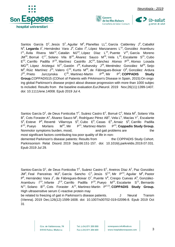





[Santos García D](https://www.ncbi.nlm.nih.gov/pubmed/?term=Santos%20Garc%C3%ADa%20D%5BAuthor%5D&cauthor=true&cauthor_uid=31179586)<sup>1</sup>, [Jesús S](https://www.ncbi.nlm.nih.gov/pubmed/?term=Jes%C3%BAs%20S%5BAuthor%5D&cauthor=true&cauthor_uid=31179586)<sup>2</sup>, [Aguilar M](https://www.ncbi.nlm.nih.gov/pubmed/?term=Aguilar%20M%5BAuthor%5D&cauthor=true&cauthor_uid=31179586)<sup>3</sup>, Planellas LL<sup>4</sup>, [García Caldentey](https://www.ncbi.nlm.nih.gov/pubmed/?term=Garc%C3%ADa%20Caldentey%20J%5BAuthor%5D&cauthor=true&cauthor_uid=31179586) J<sup>5</sup>, Caballol N<sup>6</sup>, [Legarda I](https://www.ncbi.nlm.nih.gov/pubmed/?term=Legarda%20I%5BAuthor%5D&cauthor=true&cauthor_uid=31179586)<sup>7</sup>, [Hernández Vara](https://www.ncbi.nlm.nih.gov/pubmed/?term=Hern%C3%A1ndez%20Vara%20J%5BAuthor%5D&cauthor=true&cauthor_uid=31179586) J<sup>8</sup>, [Cabo I](https://www.ncbi.nlm.nih.gov/pubmed/?term=Cabo%20I%5BAuthor%5D&cauthor=true&cauthor_uid=31179586)<sup>9</sup>, [López Manzanares L](https://www.ncbi.nlm.nih.gov/pubmed/?term=L%C3%B3pez%20Manzanares%20L%5BAuthor%5D&cauthor=true&cauthor_uid=31179586)<sup>10</sup>, [González Aramburu](https://www.ncbi.nlm.nih.gov/pubmed/?term=Gonz%C3%A1lez%20Aramburu%20I%5BAuthor%5D&cauthor=true&cauthor_uid=31179586) [I](https://www.ncbi.nlm.nih.gov/pubmed/?term=Gonz%C3%A1lez%20Aramburu%20I%5BAuthor%5D&cauthor=true&cauthor_uid=31179586)<sup>11</sup>, Ávila [Rivera MA](https://www.ncbi.nlm.nih.gov/pubmed/?term=%C3%81vila%20Rivera%20MA%5BAuthor%5D&cauthor=true&cauthor_uid=31179586)<sup>12</sup>, Catalán MJ<sup>13</sup>, [López Díaz L](https://www.ncbi.nlm.nih.gov/pubmed/?term=L%C3%B3pez%20D%C3%ADaz%20L%5BAuthor%5D&cauthor=true&cauthor_uid=31179586)<sup>14</sup>, [Puente V](https://www.ncbi.nlm.nih.gov/pubmed/?term=Puente%20V%5BAuthor%5D&cauthor=true&cauthor_uid=31179586)<sup>15</sup>, García Moreno [JM](https://www.ncbi.nlm.nih.gov/pubmed/?term=Garc%C3%ADa%20Moreno%20JM%5BAuthor%5D&cauthor=true&cauthor_uid=31179586)<sup>16</sup>, Borrué C<sup>17</sup>, Solano Vila B<sup>18</sup>, [Álvarez Sauco](https://www.ncbi.nlm.nih.gov/pubmed/?term=%C3%81lvarez%20Sauco%20M%5BAuthor%5D&cauthor=true&cauthor_uid=31179586) M<sup>19</sup>, [Vela L](https://www.ncbi.nlm.nih.gov/pubmed/?term=Vela%20L%5BAuthor%5D&cauthor=true&cauthor_uid=31179586)<sup>20</sup>, [Escalante S](https://www.ncbi.nlm.nih.gov/pubmed/?term=Escalante%20S%5BAuthor%5D&cauthor=true&cauthor_uid=31179586)<sup>21</sup>, Cubo  $E^{22}$ , [Carrillo Padilla F](https://www.ncbi.nlm.nih.gov/pubmed/?term=Carrillo%20Padilla%20F%5BAuthor%5D&cauthor=true&cauthor_uid=31179586)<sup>23</sup>, [Martínez Castrillo](https://www.ncbi.nlm.nih.gov/pubmed/?term=Mart%C3%ADnez%20Castrillo%20JC%5BAuthor%5D&cauthor=true&cauthor_uid=31179586) JC<sup>24</sup>, [Sánchez Alonso P](https://www.ncbi.nlm.nih.gov/pubmed/?term=S%C3%A1nchez%20Alonso%20P%5BAuthor%5D&cauthor=true&cauthor_uid=31179586)<sup>25</sup>, [Alonso Losada](https://www.ncbi.nlm.nih.gov/pubmed/?term=Alonso%20Losada%20MG%5BAuthor%5D&cauthor=true&cauthor_uid=31179586) [MG](https://www.ncbi.nlm.nih.gov/pubmed/?term=Alonso%20Losada%20MG%5BAuthor%5D&cauthor=true&cauthor_uid=31179586)<sup>26</sup>, [López Ariztegui](https://www.ncbi.nlm.nih.gov/pubmed/?term=L%C3%B3pez%20Ariztegui%20N%5BAuthor%5D&cauthor=true&cauthor_uid=31179586) N<sup>27</sup>, Gastón 1<sup>28</sup>, Kulisevsky J<sup>29</sup>, [Menéndez González M](https://www.ncbi.nlm.nih.gov/pubmed/?term=Men%C3%A9ndez%20Gonz%C3%A1lez%20M%5BAuthor%5D&cauthor=true&cauthor_uid=31179586)<sup>30</sup>, Seijo  $M^9$ , Rúiz Martínez J<sup>31</sup>, [Valero C](https://www.ncbi.nlm.nih.gov/pubmed/?term=Valero%20C%5BAuthor%5D&cauthor=true&cauthor_uid=31179586)<sup>32</sup>, [Kurtis M](https://www.ncbi.nlm.nih.gov/pubmed/?term=Kurtis%20M%5BAuthor%5D&cauthor=true&cauthor_uid=31179586)<sup>33</sup>, [de Fábregues-Boixar](https://www.ncbi.nlm.nih.gov/pubmed/?term=de%20F%C3%A1bregues-Boixar%20O%5BAuthor%5D&cauthor=true&cauthor_uid=31179586) O<sup>8</sup>, [González Ardura](https://www.ncbi.nlm.nih.gov/pubmed/?term=Gonz%C3%A1lez%20Ardura%20J%5BAuthor%5D&cauthor=true&cauthor_uid=31179586)  $J^{34}$  $J^{34}$ **Jurczynska**  $^{35}$ , [Martinez-Martin P](https://www.ncbi.nlm.nih.gov/pubmed/?term=Martinez-Martin%20P%5BAuthor%5D&cauthor=true&cauthor_uid=31179586) $^{36}$  $P^{36}$ , Mir ; **[COPPADIS Study](https://www.ncbi.nlm.nih.gov/pubmed/?term=COPPADIS%20Study%20Group%5BCorporate%20Author%5D)  [Group.](https://www.ncbi.nlm.nih.gov/pubmed/?term=COPPADIS%20Study%20Group%5BCorporate%20Author%5D)**COPPADIS15 (COhort of Patients with PArkinson's DIsease in Spain, 2015):On ongo ing global Parkinson's disease project about disease progression with more than 1000 subjec ts included. Results from the baseline evaluation[.EurJNeurol.](EurJNeurol.) 2019 Nov;26(11):1399-1407. doi: 10.1111/ene.14008. Epub 2019 Jul 4.

[Santos García D](https://www.ncbi.nlm.nih.gov/pubmed/?term=Santos%20Garc%C3%ADa%20D%5BAuthor%5D&cauthor=true&cauthor_uid=31409572)<sup>1</sup>, [de Deus Fonticoba](https://www.ncbi.nlm.nih.gov/pubmed/?term=de%20Deus%20Fonticoba%20T%5BAuthor%5D&cauthor=true&cauthor_uid=31409572) T<sup>2</sup>, [Suárez Castro E](https://www.ncbi.nlm.nih.gov/pubmed/?term=Su%C3%A1rez%20Castro%20E%5BAuthor%5D&cauthor=true&cauthor_uid=31409572)<sup>2</sup>, Borrué C<sup>3</sup>, [Mata M](https://www.ncbi.nlm.nih.gov/pubmed/?term=Mata%20M%5BAuthor%5D&cauthor=true&cauthor_uid=31409572)<sup>3</sup>, Solano Vila [B](https://www.ncbi.nlm.nih.gov/pubmed/?term=Solano%20Vila%20B%5BAuthor%5D&cauthor=true&cauthor_uid=31409572)<sup>4</sup>, Cots Foraster A<sup>4</sup>, [Álvarez Sauco M](https://www.ncbi.nlm.nih.gov/pubmed/?term=%C3%81lvarez%20Sauco%20M%5BAuthor%5D&cauthor=true&cauthor_uid=31409572)<sup>5</sup>, [Rodríguez Pérez AB](https://www.ncbi.nlm.nih.gov/pubmed/?term=Rodr%C3%ADguez%20P%C3%A9rez%20AB%5BAuthor%5D&cauthor=true&cauthor_uid=31409572)<sup>5</sup>, [Vela L](https://www.ncbi.nlm.nih.gov/pubmed/?term=Vela%20L%5BAuthor%5D&cauthor=true&cauthor_uid=31409572)<sup>6</sup>, [Macías Y](https://www.ncbi.nlm.nih.gov/pubmed/?term=Mac%C3%ADas%20Y%5BAuthor%5D&cauthor=true&cauthor_uid=31409572)<sup>7</sup>, Escalante  $S^8$  $S^8$ , [Esteve P](https://www.ncbi.nlm.nih.gov/pubmed/?term=Esteve%20P%5BAuthor%5D&cauthor=true&cauthor_uid=31409572)<sup>8</sup>, [Reverté Villarroya S](https://www.ncbi.nlm.nih.gov/pubmed/?term=Revert%C3%A9%20Villarroya%20S%5BAuthor%5D&cauthor=true&cauthor_uid=31409572)<sup>8</sup>, [Cubo E](https://www.ncbi.nlm.nih.gov/pubmed/?term=Cubo%20E%5BAuthor%5D&cauthor=true&cauthor_uid=31409572)<sup>9</sup>, [Casas E](https://www.ncbi.nlm.nih.gov/pubmed/?term=Casas%20E%5BAuthor%5D&cauthor=true&cauthor_uid=31409572)<sup>9</sup>, [Arnaiz S](https://www.ncbi.nlm.nih.gov/pubmed/?term=Arnaiz%20S%5BAuthor%5D&cauthor=true&cauthor_uid=31409572)<sup>9</sup>, Carrillo Padilla [F](https://www.ncbi.nlm.nih.gov/pubmed/?term=Carrillo%20Padilla%20F%5BAuthor%5D&cauthor=true&cauthor_uid=31409572) 10 , [Pueyo Morlans](https://www.ncbi.nlm.nih.gov/pubmed/?term=Pueyo%20Morlans%20M%5BAuthor%5D&cauthor=true&cauthor_uid=31409572) M  $10$ , Mir  $P^{11}$ , Martinez-Martin P<sup>12</sup>; **Coppadis Study Group.**  Nonmotor symptoms burden, mood, and gait problems are the the most significant factors contributing toa poor quality of life in nondemented Parkinson's disease patients: Results from the COPPADIS Study Cohort. [Parkinsonism Relat](Parkinsonism%20Relat%20Disord.) Disord. 2019 Sep;66:151-157. doi: 10.1016/j.parkreldis.2019.07.031. Epub 2019 Jul 29.

[Santos-García D](https://www.ncbi.nlm.nih.gov/pubmed/?term=Santos-Garc%C3%ADa%20D%5BAuthor%5D&cauthor=true&cauthor_uid=31673927)<sup>1</sup>, [de Deus Fonticoba](https://www.ncbi.nlm.nih.gov/pubmed/?term=de%20Deus%20Fonticoba%20T%5BAuthor%5D&cauthor=true&cauthor_uid=31673927) T<sup>2</sup>, [Suárez Castro E](https://www.ncbi.nlm.nih.gov/pubmed/?term=Su%C3%A1rez%20Castro%20E%5BAuthor%5D&cauthor=true&cauthor_uid=31673927)<sup>2</sup>, Aneiros Díaz A<sup>2</sup>, Paz González [JM](https://www.ncbi.nlm.nih.gov/pubmed/?term=Paz%20Gonz%C3%A1lez%20JM%5BAuthor%5D&cauthor=true&cauthor_uid=31673927)<sup>3</sup>, Feal Panceiras MJ<sup>3</sup>, [García Sancho C](https://www.ncbi.nlm.nih.gov/pubmed/?term=Garc%C3%ADa%20Sancho%20C%5BAuthor%5D&cauthor=true&cauthor_uid=31673927)<sup>3</sup>, [Jesús S](https://www.ncbi.nlm.nih.gov/pubmed/?term=Jes%C3%BAs%20S%5BAuthor%5D&cauthor=true&cauthor_uid=31673927)<sup>4,5</sup>, [Mir P](https://www.ncbi.nlm.nih.gov/pubmed/?term=Mir%20P%5BAuthor%5D&cauthor=true&cauthor_uid=31673927)<sup>4,5</sup>, [Aguilar M](https://www.ncbi.nlm.nih.gov/pubmed/?term=Aguilar%20M%5BAuthor%5D&cauthor=true&cauthor_uid=31673927)<sup>6</sup>, Pastor [P](https://www.ncbi.nlm.nih.gov/pubmed/?term=Pastor%20P%5BAuthor%5D&cauthor=true&cauthor_uid=31673927)<sup>6</sup>, [Hernández Vara J](https://www.ncbi.nlm.nih.gov/pubmed/?term=Hern%C3%A1ndez%20Vara%20J%5BAuthor%5D&cauthor=true&cauthor_uid=31673927)<sup>7</sup>, [de Fábregues-Boixar](https://www.ncbi.nlm.nih.gov/pubmed/?term=de%20F%C3%A1bregues-Boixar%20O%5BAuthor%5D&cauthor=true&cauthor_uid=31673927) O<sup>7</sup>, [Puente V](https://www.ncbi.nlm.nih.gov/pubmed/?term=Puente%20V%5BAuthor%5D&cauthor=true&cauthor_uid=31673927)<sup>8</sup>, [Crespo Cuevas A](https://www.ncbi.nlm.nih.gov/pubmed/?term=Crespo%20Cuevas%20A%5BAuthor%5D&cauthor=true&cauthor_uid=31673927)<sup>8</sup>, [González-](https://www.ncbi.nlm.nih.gov/pubmed/?term=Gonz%C3%A1lez-Aramburu%20I%5BAuthor%5D&cauthor=true&cauthor_uid=31673927)[Aramburu I](https://www.ncbi.nlm.nih.gov/pubmed/?term=Gonz%C3%A1lez-Aramburu%20I%5BAuthor%5D&cauthor=true&cauthor_uid=31673927)<sup>5,9</sup>, [Infante J](https://www.ncbi.nlm.nih.gov/pubmed/?term=Infante%20J%5BAuthor%5D&cauthor=true&cauthor_uid=31673927)<sup>5,9</sup>, [Carrillo Padilla F](https://www.ncbi.nlm.nih.gov/pubmed/?term=Carrillo%20Padilla%20F%5BAuthor%5D&cauthor=true&cauthor_uid=31673927)<sup>10</sup>, [Pueyo M](https://www.ncbi.nlm.nih.gov/pubmed/?term=Pueyo%20M%5BAuthor%5D&cauthor=true&cauthor_uid=31673927)<sup>10</sup>, [Escalante S](https://www.ncbi.nlm.nih.gov/pubmed/?term=Escalante%20S%5BAuthor%5D&cauthor=true&cauthor_uid=31673927)<sup>11</sup>, Bernardo [N](https://www.ncbi.nlm.nih.gov/pubmed/?term=Bernardo%20N%5BAuthor%5D&cauthor=true&cauthor_uid=31673927)<sup>11</sup>, [Solano B](https://www.ncbi.nlm.nih.gov/pubmed/?term=Solano%20B%5BAuthor%5D&cauthor=true&cauthor_uid=31673927)<sup>12</sup>, Cots Foraster A<sup>12</sup>, Martinez-Martin P<sup>5,13</sup>; [COPPADIS Study](https://www.ncbi.nlm.nih.gov/pubmed/?term=COPPADIS%20Study%20Group%5BCorporate%20Author%5D) Group. High ultrasensitive serum C-reactive protein may

be related to freezing of gait in Parkinson's disease patients. [J Neural Transm](https://www.ncbi.nlm.nih.gov/pubmed/?term=High+ultrasensitive+serum+C-reactive+protein+may+be+related+to+freezing+of+gait+in+Parkinson%E2%80%99s+disease+patients) [\(Vienna\).](https://www.ncbi.nlm.nih.gov/pubmed/?term=High+ultrasensitive+serum+C-reactive+protein+may+be+related+to+freezing+of+gait+in+Parkinson%E2%80%99s+disease+patients) 2019 Dec;126(12):1599-1608. doi: 10.1007/s00702-019-02096-8. Epub 2019 Oct 31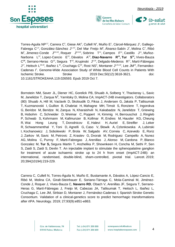







[Torres-Aguila NP](https://www.ncbi.nlm.nih.gov/pubmed/?term=Torres-Aguila%20NP%5BAuthor%5D&cauthor=true&cauthor_uid=31587654)<sup>1,2</sup>, [Carrera C](https://www.ncbi.nlm.nih.gov/pubmed/?term=Carrera%20C%5BAuthor%5D&cauthor=true&cauthor_uid=31587654)<sup>2</sup>, [Giese AK](https://www.ncbi.nlm.nih.gov/pubmed/?term=Giese%20AK%5BAuthor%5D&cauthor=true&cauthor_uid=31587654)<sup>3</sup>, [Cullell N](https://www.ncbi.nlm.nih.gov/pubmed/?term=Cullell%20N%5BAuthor%5D&cauthor=true&cauthor_uid=31587654)<sup>4</sup>, [Muiño E](https://www.ncbi.nlm.nih.gov/pubmed/?term=Mui%C3%B1o%20E%5BAuthor%5D&cauthor=true&cauthor_uid=31587654)<sup>1</sup>, [Cárcel-Márquez J](https://www.ncbi.nlm.nih.gov/pubmed/?term=C%C3%A1rcel-M%C3%A1rquez%20J%5BAuthor%5D&cauthor=true&cauthor_uid=31587654)<sup>1</sup>, [Gallego-](https://www.ncbi.nlm.nih.gov/pubmed/?term=Gallego-Fabrega%20C%5BAuthor%5D&cauthor=true&cauthor_uid=31587654)[Fabrega C](https://www.ncbi.nlm.nih.gov/pubmed/?term=Gallego-Fabrega%20C%5BAuthor%5D&cauthor=true&cauthor_uid=31587654)<sup>1,4</sup>, [González-Sánchez J](https://www.ncbi.nlm.nih.gov/pubmed/?term=Gonz%C3%A1lez-S%C3%A1nchez%20J%5BAuthor%5D&cauthor=true&cauthor_uid=31587654)<sup>1,4,5</sup>, [Del Mar Freijo M](https://www.ncbi.nlm.nih.gov/pubmed/?term=Del%20Mar%20Freijo%20M%5BAuthor%5D&cauthor=true&cauthor_uid=31587654)<sup>6</sup>, [Álvarez-Sabín J](https://www.ncbi.nlm.nih.gov/pubmed/?term=%C3%81lvarez-Sab%C3%ADn%20J%5BAuthor%5D&cauthor=true&cauthor_uid=31587654)<sup>7</sup>, [Molina C](https://www.ncbi.nlm.nih.gov/pubmed/?term=Molina%20C%5BAuthor%5D&cauthor=true&cauthor_uid=31587654)<sup>7</sup>, Ribó [M](https://www.ncbi.nlm.nih.gov/pubmed/?term=Rib%C3%B3%20M%5BAuthor%5D&cauthor=true&cauthor_uid=31587654)<sup>7</sup>, [Jimenez-Conde J](https://www.ncbi.nlm.nih.gov/pubmed/?term=Jimenez-Conde%20J%5BAuthor%5D&cauthor=true&cauthor_uid=31587654)<sup>8,9,10</sup>, [Roquer J](https://www.ncbi.nlm.nih.gov/pubmed/?term=Roquer%20J%5BAuthor%5D&cauthor=true&cauthor_uid=31587654)<sup>8,9,10</sup>, [Sobrino T](https://www.ncbi.nlm.nih.gov/pubmed/?term=Sobrino%20T%5BAuthor%5D&cauthor=true&cauthor_uid=31587654)<sup>11</sup>, [Campos F](https://www.ncbi.nlm.nih.gov/pubmed/?term=Campos%20F%5BAuthor%5D&cauthor=true&cauthor_uid=31587654)<sup>11</sup>, [Castillo J](https://www.ncbi.nlm.nih.gov/pubmed/?term=Castillo%20J%5BAuthor%5D&cauthor=true&cauthor_uid=31587654)<sup>11</sup>, [Muñoz-](https://www.ncbi.nlm.nih.gov/pubmed/?term=Mu%C3%B1oz-Narbona%20L%5BAuthor%5D&cauthor=true&cauthor_uid=31587654)[Narbona L](https://www.ncbi.nlm.nih.gov/pubmed/?term=Mu%C3%B1oz-Narbona%20L%5BAuthor%5D&cauthor=true&cauthor_uid=31587654)<sup>12</sup>, [Lopez-Cancio E](https://www.ncbi.nlm.nih.gov/pubmed/?term=Lopez-Cancio%20E%5BAuthor%5D&cauthor=true&cauthor_uid=31587654)<sup>13</sup>, [Dàvalos A](https://www.ncbi.nlm.nih.gov/pubmed/?term=D%C3%A0valos%20A%5BAuthor%5D&cauthor=true&cauthor_uid=31587654)<sup>12</sup>, **[Diaz-Navarro R](https://www.ncbi.nlm.nih.gov/pubmed/?term=Diaz-Navarro%20R%5BAuthor%5D&cauthor=true&cauthor_uid=31587654)<sup>14</sup>, [Tur S](https://www.ncbi.nlm.nih.gov/pubmed/?term=Tur%20S%5BAuthor%5D&cauthor=true&cauthor_uid=31587654)<sup>14</sup>,** Vives-Bauza [C](https://www.ncbi.nlm.nih.gov/pubmed/?term=Vives-Bauza%20C%5BAuthor%5D&cauthor=true&cauthor_uid=31587654)<sup>14</sup>, [Serrano-Heras G](https://www.ncbi.nlm.nih.gov/pubmed/?term=Serrano-Heras%20G%5BAuthor%5D&cauthor=true&cauthor_uid=31587654)<sup>15</sup>, [Segura T](https://www.ncbi.nlm.nih.gov/pubmed/?term=Segura%20T%5BAuthor%5D&cauthor=true&cauthor_uid=31587654)<sup>15</sup>, [Krupinski J](https://www.ncbi.nlm.nih.gov/pubmed/?term=Krupinski%20J%5BAuthor%5D&cauthor=true&cauthor_uid=31587654)<sup>5,16</sup>, [Delgado-Mederos R](https://www.ncbi.nlm.nih.gov/pubmed/?term=Delgado-Mederos%20R%5BAuthor%5D&cauthor=true&cauthor_uid=31587654)<sup>17</sup>, Martí-Fàbregas [J](https://www.ncbi.nlm.nih.gov/pubmed/?term=Mart%C3%AD-F%C3%A0bregas%20J%5BAuthor%5D&cauthor=true&cauthor_uid=31587654)<sup>17</sup>, [Heitsch L](https://www.ncbi.nlm.nih.gov/pubmed/?term=Heitsch%20L%5BAuthor%5D&cauthor=true&cauthor_uid=31587654)<sup>18,19</sup>, [Ibañez L](https://www.ncbi.nlm.nih.gov/pubmed/?term=Iba%C3%B1ez%20L%5BAuthor%5D&cauthor=true&cauthor_uid=31587654)<sup>20</sup>, [Cruchaga C](https://www.ncbi.nlm.nih.gov/pubmed/?term=Cruchaga%20C%5BAuthor%5D&cauthor=true&cauthor_uid=31587654)<sup>20</sup>, [Rost NS](https://www.ncbi.nlm.nih.gov/pubmed/?term=Rost%20NS%5BAuthor%5D&cauthor=true&cauthor_uid=31587654)<sup>3</sup>, [Montaner J](https://www.ncbi.nlm.nih.gov/pubmed/?term=Montaner%20J%5BAuthor%5D&cauthor=true&cauthor_uid=31587654)<sup>2,21,22</sup>, [Lee JM](https://www.ncbi.nlm.nih.gov/pubmed/?term=Lee%20JM%5BAuthor%5D&cauthor=true&cauthor_uid=31587654)<sup>19</sup>, [Fernandez-](https://www.ncbi.nlm.nih.gov/pubmed/?term=Fernandez-Cadenas%20I%5BAuthor%5D&cauthor=true&cauthor_uid=31587654)[Cadenas I](https://www.ncbi.nlm.nih.gov/pubmed/?term=Fernandez-Cadenas%20I%5BAuthor%5D&cauthor=true&cauthor_uid=31587654)<sup>1</sup>. Genome-Wide Association Study of White Blood Cell Counts in Patients With Ischemic Stroke. Stroke 2019 Dec;50(12):3618-3621. doi: 10.1161/STROKEAHA.119.026593. Epub 2019 Oct 7.

[Bornstein NM,](https://www.ncbi.nlm.nih.gov/pubmed/?term=Bornstein%20NM%5BAuthor%5D&cauthor=true&cauthor_uid=31133406) [Saver JL,](https://www.ncbi.nlm.nih.gov/pubmed/?term=Saver%20JL%5BAuthor%5D&cauthor=true&cauthor_uid=31133406) [Diener HC,](https://www.ncbi.nlm.nih.gov/pubmed/?term=Diener%20HC%5BAuthor%5D&cauthor=true&cauthor_uid=31133406) [Gorelick PB,](https://www.ncbi.nlm.nih.gov/pubmed/?term=Gorelick%20PB%5BAuthor%5D&cauthor=true&cauthor_uid=31133406) [Shuaib A,](https://www.ncbi.nlm.nih.gov/pubmed/?term=Shuaib%20A%5BAuthor%5D&cauthor=true&cauthor_uid=31133406) [Solberg Y,](https://www.ncbi.nlm.nih.gov/pubmed/?term=Solberg%20Y%5BAuthor%5D&cauthor=true&cauthor_uid=31133406) [Thackeray L,](https://www.ncbi.nlm.nih.gov/pubmed/?term=Thackeray%20L%5BAuthor%5D&cauthor=true&cauthor_uid=31133406) [Savic](https://www.ncbi.nlm.nih.gov/pubmed/?term=Savic%20M%5BAuthor%5D&cauthor=true&cauthor_uid=31133406)  [M,](https://www.ncbi.nlm.nih.gov/pubmed/?term=Savic%20M%5BAuthor%5D&cauthor=true&cauthor_uid=31133406) [Janelidze T,](https://www.ncbi.nlm.nih.gov/pubmed/?term=Janelidze%20T%5BAuthor%5D&cauthor=true&cauthor_uid=31133406) [Zarqua N](https://www.ncbi.nlm.nih.gov/pubmed/?term=Zarqua%20N%5BAuthor%5D&cauthor=true&cauthor_uid=31133406)<sup>0</sup>, [Yarnitsky D,](https://www.ncbi.nlm.nih.gov/pubmed/?term=Yarnitsky%20D%5BAuthor%5D&cauthor=true&cauthor_uid=31133406) [Molina CA;](https://www.ncbi.nlm.nih.gov/pubmed/?term=Molina%20CA%5BAuthor%5D&cauthor=true&cauthor_uid=31133406) ImpACT-24B investigators. Collaborators [\(80\)](https://www.ncbi.nlm.nih.gov/pubmed/?term=ImpACT-24B%20investigators%5BCorporate%20Author%5D) [Shuaib A,](https://www.ncbi.nlm.nih.gov/pubmed/?term=Shuaib%20A) [Hill M,](https://www.ncbi.nlm.nih.gov/pubmed/?term=Hill%20M) [Vaclavik D,](https://www.ncbi.nlm.nih.gov/pubmed/?term=Vaclavik%20D) [Skoloudik D,](https://www.ncbi.nlm.nih.gov/pubmed/?term=Skoloudik%20D) [Fiksa J,](https://www.ncbi.nlm.nih.gov/pubmed/?term=Fiksa%20J) [Andersen G,](https://www.ncbi.nlm.nih.gov/pubmed/?term=Andersen%20G) [Jakala P,](https://www.ncbi.nlm.nih.gov/pubmed/?term=Jakala%20P) [Tatlisumak](https://www.ncbi.nlm.nih.gov/pubmed/?term=Tatlisumak%20T)  [T,](https://www.ncbi.nlm.nih.gov/pubmed/?term=Tatlisumak%20T) [Kuzmanovski I,](https://www.ncbi.nlm.nih.gov/pubmed/?term=Kuzmanovski%20I) [Guillon B,](https://www.ncbi.nlm.nih.gov/pubmed/?term=Guillon%20B) [Chabriat H,](https://www.ncbi.nlm.nih.gov/pubmed/?term=Chabriat%20H) [Mahagne MH,](https://www.ncbi.nlm.nih.gov/pubmed/?term=Mahagne%20MH) [Timsit S,](https://www.ncbi.nlm.nih.gov/pubmed/?term=Timsit%20S) [Ronziere T,](https://www.ncbi.nlm.nih.gov/pubmed/?term=Ronziere%20T) [Ingorokva](https://www.ncbi.nlm.nih.gov/pubmed/?term=Ingorokva%20G)  [G,](https://www.ncbi.nlm.nih.gov/pubmed/?term=Ingorokva%20G) [Beridze M,](https://www.ncbi.nlm.nih.gov/pubmed/?term=Beridze%20M) [Beridze M,](https://www.ncbi.nlm.nih.gov/pubmed/?term=Beridze%20M) [Zarqua N,](https://www.ncbi.nlm.nih.gov/pubmed/?term=Zarqua%20N) [Kharaishvili N,](https://www.ncbi.nlm.nih.gov/pubmed/?term=Kharaishvili%20N) [Kakabadze N,](https://www.ncbi.nlm.nih.gov/pubmed/?term=Kakabadze%20N) [Janelidze T,](https://www.ncbi.nlm.nih.gov/pubmed/?term=Janelidze%20T) [Griewing](https://www.ncbi.nlm.nih.gov/pubmed/?term=Griewing%20B)  [B,](https://www.ncbi.nlm.nih.gov/pubmed/?term=Griewing%20B) [Hobohm C,](https://www.ncbi.nlm.nih.gov/pubmed/?term=Hobohm%20C) [Schneider D,](https://www.ncbi.nlm.nih.gov/pubmed/?term=Schneider%20D) [Weimar C,](https://www.ncbi.nlm.nih.gov/pubmed/?term=Weimar%20C) [Poppert H,](https://www.ncbi.nlm.nih.gov/pubmed/?term=Poppert%20H) [Kimmig H,](https://www.ncbi.nlm.nih.gov/pubmed/?term=Kimmig%20H) [Berrouschot J,](https://www.ncbi.nlm.nih.gov/pubmed/?term=Berrouschot%20J) [Ringleb](https://www.ncbi.nlm.nih.gov/pubmed/?term=Ringleb%20P)  [P,](https://www.ncbi.nlm.nih.gov/pubmed/?term=Ringleb%20P) [Schwab S,](https://www.ncbi.nlm.nih.gov/pubmed/?term=Schwab%20S) [Kohrmann M,](https://www.ncbi.nlm.nih.gov/pubmed/?term=Kohrmann%20M) [Kallmunzer B,](https://www.ncbi.nlm.nih.gov/pubmed/?term=Kallmunzer%20B) [Kollmar R,](https://www.ncbi.nlm.nih.gov/pubmed/?term=Kollmar%20R) [Endres M,](https://www.ncbi.nlm.nih.gov/pubmed/?term=Endres%20M) [Hausler KG,](https://www.ncbi.nlm.nih.gov/pubmed/?term=Hausler%20KG) [Cheung](https://www.ncbi.nlm.nih.gov/pubmed/?term=Cheung%20R)  [R,](https://www.ncbi.nlm.nih.gov/pubmed/?term=Cheung%20R) [Wai Hong Leung T,](https://www.ncbi.nlm.nih.gov/pubmed/?term=Wai%20Hong%20Leung%20T) [Dorodnicov E,](https://www.ncbi.nlm.nih.gov/pubmed/?term=Dorodnicov%20E) [Halevi H,](https://www.ncbi.nlm.nih.gov/pubmed/?term=Halevi%20H) [Auriel E,](https://www.ncbi.nlm.nih.gov/pubmed/?term=Auriel%20E) [Streifler J,](https://www.ncbi.nlm.nih.gov/pubmed/?term=Streifler%20J) [Leker](https://www.ncbi.nlm.nih.gov/pubmed/?term=Leker%20R)  [R,](https://www.ncbi.nlm.nih.gov/pubmed/?term=Leker%20R) [Schwammenthal Y,](https://www.ncbi.nlm.nih.gov/pubmed/?term=Schwammenthal%20Y) [Toni D,](https://www.ncbi.nlm.nih.gov/pubmed/?term=Toni%20D) [Agnelli G,](https://www.ncbi.nlm.nih.gov/pubmed/?term=Agnelli%20G) [Caso V,](https://www.ncbi.nlm.nih.gov/pubmed/?term=Caso%20V) [Słowik A,](https://www.ncbi.nlm.nih.gov/pubmed/?term=S%C5%82owik%20A) [Czlonkowska A,](https://www.ncbi.nlm.nih.gov/pubmed/?term=Czlonkowska%20A) [Lubinski](https://www.ncbi.nlm.nih.gov/pubmed/?term=Lubinski%20I)  [I,](https://www.ncbi.nlm.nih.gov/pubmed/?term=Lubinski%20I) [Kochanowicz J,](https://www.ncbi.nlm.nih.gov/pubmed/?term=Kochanowicz%20J) [Sobolewski P,](https://www.ncbi.nlm.nih.gov/pubmed/?term=Sobolewski%20P) [Brola W,](https://www.ncbi.nlm.nih.gov/pubmed/?term=Brola%20W) [Salgado AV,](https://www.ncbi.nlm.nih.gov/pubmed/?term=Salgado%20AV) [Correia C,](https://www.ncbi.nlm.nih.gov/pubmed/?term=Correia%20C) [Azevedo E,](https://www.ncbi.nlm.nih.gov/pubmed/?term=Azevedo%20E) [Roriz](https://www.ncbi.nlm.nih.gov/pubmed/?term=Roriz%20J)  [J,](https://www.ncbi.nlm.nih.gov/pubmed/?term=Roriz%20J) [Zarkov M,](https://www.ncbi.nlm.nih.gov/pubmed/?term=Zarkov%20M) [Savic M,](https://www.ncbi.nlm.nih.gov/pubmed/?term=Savic%20M) [Petrovic Z,](https://www.ncbi.nlm.nih.gov/pubmed/?term=Petrovic%20Z) [Krastev G,](https://www.ncbi.nlm.nih.gov/pubmed/?term=Krastev%20G) [Dvorak M,](https://www.ncbi.nlm.nih.gov/pubmed/?term=Dvorak%20M) [Rodriguez Campello A,](https://www.ncbi.nlm.nih.gov/pubmed/?term=Rodriguez%20Campello%20A) [Nunez](https://www.ncbi.nlm.nih.gov/pubmed/?term=Nunez%20AG)  [AG,](https://www.ncbi.nlm.nih.gov/pubmed/?term=Nunez%20AG) [Molina C,](https://www.ncbi.nlm.nih.gov/pubmed/?term=Molina%20C) [Purroy F,](https://www.ncbi.nlm.nih.gov/pubmed/?term=Purroy%20F) [Marti-Fabregas J,](https://www.ncbi.nlm.nih.gov/pubmed/?term=Marti-Fabregas%20J) [Arenillas J,](https://www.ncbi.nlm.nih.gov/pubmed/?term=Arenillas%20J) [Alonso M,](https://www.ncbi.nlm.nih.gov/pubmed/?term=Alonso%20M) [Cardona P,](https://www.ncbi.nlm.nih.gov/pubmed/?term=Cardona%20P) [Blanco](https://www.ncbi.nlm.nih.gov/pubmed/?term=Blanco%20Gonzalez%20M)  [Gonzalez M,](https://www.ncbi.nlm.nih.gov/pubmed/?term=Blanco%20Gonzalez%20M) **[Tur S,](https://www.ncbi.nlm.nih.gov/pubmed/?term=Tur%20S)** [Segura Martin T,](https://www.ncbi.nlm.nih.gov/pubmed/?term=Segura%20Martin%20T) [Anzhelika P,](https://www.ncbi.nlm.nih.gov/pubmed/?term=Anzhelika%20P) [Shownkeen H,](https://www.ncbi.nlm.nih.gov/pubmed/?term=Shownkeen%20H) [Concha M,](https://www.ncbi.nlm.nih.gov/pubmed/?term=Concha%20M) [Sethi P,](https://www.ncbi.nlm.nih.gov/pubmed/?term=Sethi%20P) [Sen](https://www.ncbi.nlm.nih.gov/pubmed/?term=Sen%20S)  [S,](https://www.ncbi.nlm.nih.gov/pubmed/?term=Sen%20S) [Zaidi S,](https://www.ncbi.nlm.nih.gov/pubmed/?term=Zaidi%20S) [Zaidi S,](https://www.ncbi.nlm.nih.gov/pubmed/?term=Zaidi%20S) [Devlin T.](https://www.ncbi.nlm.nih.gov/pubmed/?term=Devlin%20T) An injectable implant to stimulate the sphenopalatine ganglion for treatment of acute ischaemic stroke up to 24 h from onset (ImpACT-24B): an international, randomised, double-blind, sham-controlled, pivotal trial. [Lancet.](https://www.ncbi.nlm.nih.gov/pubmed/?term=ImpACT-24B%20investigators%5BCorporate%20Author%5D) 2019; 20;394(10194):219-229.

Carrera C, Cullell N, Torres-Águila N, Muiño E, Bustamante A, Dávalos A, López-Cancio E, Ribó M, Molina CA, Giralt-Steinhauer E, Soriano-Tárraga C, Mola-Caminal M, Jiménez-Conde J, Roquer J, Vives-Bauza C, **Navarro RD**, Obach V, Arenillas JF, Segura T, Serrano-Heras G, Martí-Fàbregas J, Freijo M, Cabezas JA, Tatlisumak T, Heitsch L, Ibañez L, Cruchaga C, Lee JM, Strbian D, Montaner J, Fernández-Cadenas I; Spanish Stroke Genetic Consortium. [Validation of a clinical-genetics score to predict hemorrhagic transformations](https://www.ncbi.nlm.nih.gov/pubmed/31366724)  [after rtPA.](https://www.ncbi.nlm.nih.gov/pubmed/31366724) Neurology. 2019; 27;93(9):e851-e863.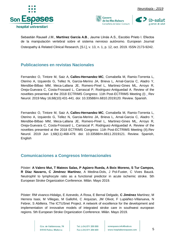





Sebastián Rausell J.M., **Martínez García A.B**., Jaume Llinás A.S., Escobio Prieto I. Efectos de la manipulación vertebral sobre el sistema nervioso autónomo. European Journal Osteopathy & Related Clinical Research, [S.l.], v. 13, n. 1, p. 12, oct. 2019. ISSN [2173-9242](tel:2173-9242).

#### <span id="page-5-0"></span>**Publicaciones en revistas Nacionales**

Fernandez O, Tintore M, Saiz A, **Calles-Hernandez MC**, Comabella M, Ramio-Torrenta L, Oterino A, Izquierdo G, Tellez N, Garcia-Merino JA, Brieva L, Arnal-Garcia C, Aladro Y, Mendibe-Bilbao MM, Meca-Lallana JE, Romero-Pinel L, Martinez-Gines ML, Arroyo R, Oreja-Guevara C, Costa-Frossard L, Carrascal P, Rodriguez-Antiguedad A. [Review of the](https://www.ncbi.nlm.nih.gov/pubmed/31070235)  novelties presented [at the 2018 ECTRIMS Congress: 11th Post-ECTRIMS Meeting \(I\) .](https://www.ncbi.nlm.nih.gov/pubmed/31070235) Rev Neurol. 2019 May 16;68(10):431-441. doi: 10.33588/rn.6810.2019120. Review. Spanish.

Fernandez O, Tintore M, Saiz A, **Calles-Hernandez MC**, Comabella M, Ramio-Torrenta L, Oterino A, Izquierdo G, Tellez N, Garcia-Merino JA, Brieva L, Arnal-Garcia C, Aladro Y, Mendibe-Bilbao MM, Meca-Lallana JE, Romero-Pinel L, Martinez-Gines ML, Arroyo R, Oreja-Guevara C, Costa-Frossard L, Carrascal P, Rodriguez-Antiguedad A. [Review of the](https://www.ncbi.nlm.nih.gov/pubmed/31132136)  [novelties presented at the 2018 ECTRIMS Congress: 11th Post-ECTRIMS Meeting \(II\).R](https://www.ncbi.nlm.nih.gov/pubmed/31132136)ev Neurol. 2019 Jun 1;68(11):468-479. doi: 10.33588/rn.6811.2019121. Review. Spanish, English

#### <span id="page-5-1"></span>**Comunicaciones a Congresos Internacionales**

Póster: **A Valero Mut, T Mateos Salas, P Agüero Rueda, A Boix Moreno, S Tur Campos, R Díaz Navarro, C Jiménez Martínez**, A Medina-Dols, J Pol-Fuster, C Vives Bauzà. Neutrophil to lymphocyte ratio as a functional predictor in acute ischemic stroke. 5th European Stroke Organization Conference. Milán. Mayo 2019.

Póster: RM vivanco-Hidalgo, E Azevedo, A Rosa, E Bernal Delgado, **C Jiménez** Martínez, M Herrera Isasi, M Villegas, M Gallofré, C Arquizan, JM Olivot, F Lupiáñez-Villanueva, N Febrer, S Abilleira. The ICTUSnet Project. A network of excellence for the development and implementation of innovative models of integrated stroke care in southwest european regions. 5th European Stroke Organization Conference. Milán. Mayo 2019.

> Ctra, de Valldemossa, 79 07010 Palma. Mallorca

Tel. (+34) 871 205 000 Fax (+34) 871 205 500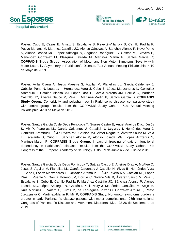



Póster: Cubo E, Casas E, Arnaiz S, Escalante S, Reverté-Villarrola S, Carrillo Padilla F, Pueyo Morlans M, Martínez Castrillo JC, Alonso Cánovas A, Sánchez Alonso P, Novo Ponte S, Alonso Losada MG, López Ariztegui N, Segundo Rodríguez JC, Gastón MI, Clavero P, Menéndez González M, Blázquez Estrada M, Martínez Martín P, Santos García D; **COPPADIS Study Group**. Association of Motor and Non Motor Symptoms Severity with Motor Laterality Asymmetry in Parkinson´s Disease. 71st Annual Meeting Philadelphia, 4-10 de Mayo de 2019.

**Govern** 

de les Illes Balears

Póster: Ávila Rivera A, Jesus Maestre S, Aguilar M, Planellas LL, García Caldentey J, Caballol Pons N, Legarda I, Hernández Vara J, Cubo E, López Manzanares L, González Aramburu I, Catalán Alonso MJ, López Díaz L, García Moreno JM, Borrué C, Martínez Castrillo JC, Álvarez Sauco M, Vela L; Martinez-Martin P, Santos García D; **COPPADIS Study Group**. Comorbidity and polypharmacy in Parkinson's disease: comparative study with control group. Results from the COPPADIS Study Cohort. 71st Annual Meeting Philadelphia, 4-10 de Mayo de 2019

Póster: Santos García D, de Deus Fonticoba T, Suárez Castro E, Ángel Aneiros Díaz, Jesús S, Mir P, Planellas LL, García Caldentey J, Caballol N, **Legarda I,** Hernández Vara J, González Aramburu I, Ávila Rivera MA, Catalán MJ, Víctor Nogueira, Álvarez Sauco M, Vela L, Escalante S, Cubo E, Sánchez Alonso P, Alonso Losada MG, López Ariztegui N, Martinez-Martin P; **COPPADIS Study Group.** Impact of freezing of gait on functional dependency in Parkinson´s disease. Results from the COPPADIS Study Cohort. 5th Congress of the European Academy of Neurology. Oslo, 29 de Junio a 2 de Julio de 2019.

Poster: Santos García D, de Deus Fonticoba T, Suárez Castro E, Aneiros Díaz A, McAfee D, Jesús S, Aguilar M, Planellas LL, García Caldentey J, Caballol N, **Vives B**, Hernández Vara J, Cabo I, López Manzanares L, González Aramburu I, Ávila Rivera MA, Catalán MJ, López Díaz L, Puente V, García Moreno JM, Borrué C, Solano Vila B, Álvarez Sauco M, Vela L, Escalante S, Cubo E, Carrillo Padilla F, Martínez Castrillo JC, Sánchez Alonso P, Alonso Losada MG, López Ariztegui N, Gastón I, Kulisevsky J, Menéndez González M, Seijo M, Rúiz Martínez J, Valero C, Kurtis M, de Fábregues-Boixar O, González Ardura J, Prieto Jurczynska C, Martinez-Martin P, Mir P; COPPADIS Study. Non-motor symptoms burden is greater in early Parkinson´s disease patients with motor complications. 23th International Congress of Parkinson´s Disease and Movement Disorders. Niza, 22-26 de Septiembre de 2019.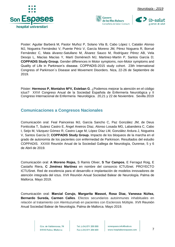



Poster: Aguilar Barberá M, Pastor Muñoz P, Solano Vila B, Cabo López I, Catalán Alonso MJ, Nogueira Fernández V, Puente Périz V, García Moreno JM, Pérez Noguera R, Borrué Fernández C, Mata álvarez-Satullano M, Álvarez Sauco M, Rodríguez Pérez AB, Vela Desojo L, Macías Macías Y, Martí Domènech MJ, Martinez-Martin P, Santos García D; **COPPADIS Study Group.** Gender differences in Motor symptoms, non-Motor symptoms and Quality of Life in Parkinson's disease. COPPADIS-2015 study cohort. 23th International Congress of Parkinson´s Disease and Movement Disorders. Niza, 22-26 de Septiembre de 2019.

Govern

de les Illes Balears

Póster: **Hermoso P, Montalvo MªV, Esteban G**. ¿Podemos mejorar la atención en el código ictus? XXVI Congreso Anual de la Sociedad Española de Enfermería Neurológica y II Congreso Internacional de Enfermería Neurológica. 20,21 y 22 de Noviembre. Sevilla 2019

#### <span id="page-7-0"></span>**Comunicaciones a Congresos Nacionales**

Comunicación oral: Feal Painceiras MJ, García Sancho C, Paz González JM, de Deus Fonticoba T, Suárez Castro E, Ángel Aneiros Díaz, Alonso Losada MG, Labandeira C, Cabo I, Seijo M, Vázquez Gómez R, Castro Lage M, López Díaz LM, González Ardura J, Nogueira V, Santos García D; **COPPADIS Study Group.** Impacto de los bloqueos de la marcha en el grado de autonomía de los pacientes con enfermedad de Parkinson. Resultados del estudio COPPADIS. XXXIII Reunión Anual de la Sociedad Gallega de Neurología, Ourense, 5 y 6 de Abril de 2019.

Comunicación oral: **A Moreno Rojas,** S Ramis Oliver, **S Tur Campos**, E Ferragut Roig, E Castaño Riera, **C Jiménez Martínez** en nombre del consorcio ICTUSnet. PROYECTO ICTUSnet. Red de excelencia para el desarrollo e implantación de modelos innovadores de atención integrada del ictus. XVII Reunión Anual Sociedad Balear de Neurología. Palma de Mallorca. Mayo 2019.

Comunicación oral: **Marcial Corujo, Margarita Massot, Rosa Díaz, Vanessa Núñez, Bernardo Sureda, Carmen Calles**. Efectos secundarios autoinmunes inhabituales en relación al tratamiento con Alemtuzumab en pacientes con Esclerosis Múltiple. XVII Reunión Anual Sociedad Balear de Neurología. Palma de Mallorca. Mayo 2019.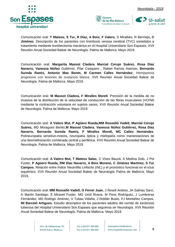



Comunicación oral: **T Mateos, S Tur, R Díaz, A Boix, F Valero**, S Miralbés, R Bermejo**, C Jiménez**. Descripción de los pacientes con trombosis venosa cerebral (TVC) sometidos a tratamiento mediante trombectomía mecánica en el Hospital Universitario Son Espases. XVII Reunión Anual Sociedad Balear de Neurología. Palma de Mallorca. Mayo 2019.

Comunicación oral: **Margarita Massot Cladera**, **Marcial Corujo Suárez, Rosa Díaz Navarro, Vanessa Núñez** Gutiérrez, Pilar Casquero , Rafael Ramos Asensio, **Bernardo Sureda Ramis, Antonio Mas Bonet, M Carmen Calles Hernández. .** Hemiparesia progresiva con lesiones de sustancia blanca. XVII Reunión Anual Sociedad Balear de Neurología. Palma de Mallorca. Mayo 2019.

Comunicación oral: **M Massot Cladera, F Miralles Morell**. Precisión de la medida de no invasiva de la distribución de la velocidad de conducción de las fibras musculares (VCFM) mediante la contracción voluntaria en sujetos sanos. XVII Reunión Anual Sociedad Balear de Neurología. Palma de Mallorca. Mayo 2019

Comunicación oral: **A Valero Mut, P Agüero Rueda,MM Rosselló Vadell, Marcial Corujo Suárez,** MD Moragues Benito,**M Massot Cladera**, **Vanessa Núñez Gutiérrez, Rosa Díaz Navarro, Bernardo Sureda Ramis, F Miralles Morell, MC Calles Hernández.**  Polineuropatía sensitivo-motora, neuropatía óptica y mielopatía como maniestaciones de una desmielinización combinada central y periférica. XVII Reunión Anual Sociedad Balear de Neurología. Palma de Mallorca. Mayo 2019.

Comunicación oral: **A Valero Mut, T Mateos Salas**, C Vives Bauzá, A Medina Dols, J Pol Fuster, **P Agüero Rueda, RM Díaz Navarro, A Boix Moreno, C Jiménez Martínez, S Tur Campos.** Relación entre Índice Neutrófilo Linfocito (INL) y el pronóstico funcional en el ictus isquémico. XVII Reunión Anual Sociedad Balear de Neurología. Palma de Mallorca. Mayo 2019.

Comunicación oral: **MM Rosselló Vadell, G Ferrer Juan**, J Rosell Andreo, JA Salinas Sanz, A Martín Santiago, E Miravet Fuster, MG Uriol Rivera, M Pons Rodríguez, J Lumbreras Fernández, MD Rodrigo Jiménez, V Tubau Vidaña, J Roldán Busto, FJ Montañez Campos, **MI Barceló Artigues.** Estudio descriptivo de los pacientes adultos del comité de esclerosis tuberosa del Hospital Universitario Son Espases que seguimos en Neurología. XVII Reunión Anual Sociedad Balear de Neurología. Palma de Mallorca. Mayo 2019.

> Ctra, de Valldemossa, 79 07010 Palma. Mallorca

Tel. (+34) 871 205 000 Fax (+34) 871 205 500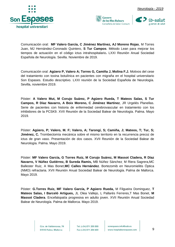





Comunicación oral: **MF Valero García, C Jiménez Martínez, AJ Moreno Rojas**, M Torres Juan, MJ Hernández-Coronado Quintero, **S Tur Campos**. Método Lean para mejorar los tiempos de actuación en el código ictus intrahospitalario**.** LXXI Reunión Anual Sociedad Española de Neurología. Sevilla. Noviembre de 2019.

Comunicación oral: **Agüero P, Valero A; Torres G, Camiña J, Molina F.J.** Motivos del cese del tratamiento con toxina botulínica en pacientes con migraña en el hospital universitario Son Espases. Estudio descriptivo. LXXI reunión de la Sociedad Española de Neurología. Sevilla, noviembre 2019.

Póster: **A Valero Mut, M Corujo Suárez, P Agüero Rueda, T Mateos Salas, S Tur Campos, R Díaz Navarro, A Boix Moreno, C Jiménez Martínez**, JR Urgelés Planellas. Serie de pacientes con historia de enfermedad cerebrovascular en tratamiento con los inhibidores de la PCSK9. XVII Reunión de la Sociedad Balear de Neurología. Palma. Mayo 2019.

Póster: **Agüero, P; Valero, M. F; Valero, A; Tarongí, S; Camiña, J; Mateos, T; Tur, S; Jiménez, C.** Trombectomía mecánica sobre el mismo territorio en la recurrencia precoz de ictus de gran vaso. Presentación de dos casos. XVII Reunión de la Sociedad Balear de Neurología. Palma. Mayo 2019.

Póster: **MF Valero García, G Torres Ruiz, M Corujo Suárez, M Massot Cladera, R Díaz Navarro, V Núñez Gutiérrez, B Sureda Ramis,** MB Núñez Sánchez, M Riera Sagrera,MC Ballester Ruiz, A Mas Bonet,**MC Calles Hernández**. Bortezomib en Neuromielitis Óptica (NMO) refractaria. XVII Reunión Anual Sociedad Balear de Neurología. Palma de Mallorca. Mayo 2019.

Póster: **G.Torres Ruiz, MF Valero García, P Agüero Rueda,** M Filgueira Dominguez, **T Mateos Salas, I Barceló Artigues,** JL Olea Vallejo, L Pallarés Ferreres,T Mas Bonet, **M Massot Cladera**. Encefalopatía progresiva en adulto joven. XVII Reunión Anual Sociedad Balear de Neurología. Palma de Mallorca. Mayo 2019.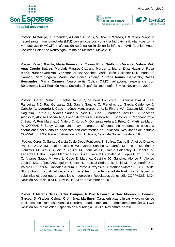





Póster: **M Corujo**, J Fernández, A Bauzá, C Saus, M Olivé, **T Mateos, F Miralles.** Miopatía necrotizante inmunomediada (MNI) con anticuerpos contra la hidroxi-metilglutaril-coenzima A reductasa (HMGCR) y afectación cutánea de inicio en la infancia. XVII Reunión Anual Sociedad Balear de Neurología. Palma de Mallorca. Mayo 2019.

Póster: **Valero García, María Fuensanta; Torres Ruiz, Guillermo Vicente; Valero Mut, Ana; Corujo Suárez, Marcial; Massot Cladera, Margarita Maria; Diaz Navarro, Rosa María; Núñez Gutiérrez, Vanessa,** Núñez Sánchez, María Belén, , Ballester Ruiz, María del Carmen, Riera Sagrera, María; Mas Bonet, Antonio; **Sureda Ramis, Bernardo; Calles Hernández, María Carmen.** Neuromielitis Óptica (NMO) refractaria: experiencia con Bortezomib. LXXI Reunión Anual Sociedad Española Neurología. Sevilla. Noviembre 2019.

Poster: Suárez Castro E, Santos-García D, de Deus Fonticoba T, Aneiros Díaz A, Feal Panceiras MJ, Paz González JM, García Sancho C, Planellas LL, García Caldentey J, Caballol N, **Legarda I**, Cabo I, López Manzanares L, Ávila Rivera MA, Catalán MJ, Víctor Nogueira, Borrué C, Álvarez Sauco M, Vela L, Cubo E, Martínez Castrillo JC, Sánchez Alonso P, Alonso Losada MG, López Ariztegui N, Gastón MI, Kulisevsky J, Pagonabarraga J, Seijo M, Rúiz Martínez J, Valero C, Kurtis M, González Ardura J, Prieto C, Martinez-Martin P; COPPADIS Study Group. Una mayor carga de síntomas no motores se asocia a alteraciones del sueño en pacientes con enfermedad de Parkinson. Resultados del estudio COPPADIS. LXXI Reunión Anual de la SEN, Sevilla, 19-23 de Noviembre de 2019.

Póster: Cores C, Santos-García D, de Deus Fonticoba T, Suárez Castro E, Aneiros Díaz A, Paz González JM, Feal Panceiras MJ, García Sancho C, García Moreno J, Menéndez González M, Jesús S, Mir P, Aguilar M, Planellas LL, García Caldentey J, Caballol N, **Legarda I**, Cabo I, López Manzanares L, Ávila Rivera MA, Catalán MJ, López Díaz L, Borrué C, Álvarez Sauco M, Vela L, Cubo E, Martínez Castrillo JC, Sánchez Alonso P, Alonso Losada MG, López Ariztegui N, Gastón I, Pascual-Sedano B, Seijo M, Rúiz Martínez J, Valero C, Kurtis M, González Ardura J, Prieto Jurczynska C, Martinez-Martin P, COPPADIS Study Group. La calidad de vida en pacientes con enfermedad de Parkinson y depresión subclínica es peor que en aquellos sin depresión. Resultados del estudio COPPADIS. LXXI Reunión Anual de la SEN, Sevilla, 19-23 de Noviembre de 2019.

Póster: **T Mateos Salas, S Tur Campos, R Díaz Navarro, A Boix Moreno**, R Bermejo Garcés, S Miralbés Celma, **C Jiménez Martínez**. Características clínicas y evolución de pacientes con Trombosis Venosa Cerebral tratados mediante trombectomía mecánica. LXXI Reunión Anual Sociedad Española de Neurología. Sevilla. Noviembre de 2019.

> Ctra, de Valldemossa, 79 07010 Palma. Mallorca

Tel. (+34) 871 205 000 Fax (+34) 871 205 500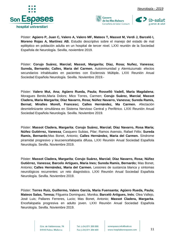





Póster: **Agüero P, Juan C, Valero A, Valero MF, Mateos T, Massot M, Verdi J, Barceló I, Moreno Rojas A, Martínez AB.** Estudio descriptivo sobre el manejo del estado de mal epiléptico en población adulta en un hospital de tercer nivel. LXXI reunión de la Sociedad Española de Neurología. Sevilla, noviembre 2019.

Póster: **Corujo Suárez, Marcial; Massot, Margarita; Díaz, Rosa; Nuñez, Vanessa; Sureda, Bernardo; Calles, Maria del Carmen.** Autoinmunidad y Alemtuzumab: efectos secundarios inhabituales en pacientes con Esclerosis Múltiple**.** LXXI Reunión Anual Sociedad Española Neurología. Sevilla. Noviembre 2019.-

Póster: **Valero Mut, Ana; Agüero Rueda, Paula; Rosselló Vadell, Maria Magdalena**; Moragues Benito,Maria Dolors; Mico Torres, Carmen; **Corujo Suárez, Marcial, Massot Cladera, Maria Margarita; Díaz Navarro, Rosa; Núñez Navarro, Vanessa; Sureda Ramis, Bernat; Miralles Morell, Francesc; Calles Hernández, Ma Carmen.** Afectación desmielinizante simultánea en Sistema Nervioso Central y Periférico. LXXI Reunión Anual Sociedad Española Neurología. Sevilla. Noviembre 2019.

Póster: **Massot Cladera, Margarita**; **Corujo Suárez, Marcial; Díaz Navarro, Rosa María; Núñez Gutiérrez, Vanessa,** Casquero Subias, Pilar; Ramos Asensio, Rafael Félix; **Sureda Ramis, Bernardo**;Mas Bonet, Antonio; **Calles Hernández, Maria del Carmen.** Síndrome piramidal progresivo y leucoencefalopatía difusa**.** LXXI Reunión Anual Sociedad Española Neurología. Sevilla. Noviembre 2019.

Póster: **Massot Cladera, Margarita**; **Corujo Suárez, Marcial; Díaz Navarro, Rosa; Núñez Gutiérrez, Vanessa; Barcelo Artigues, Maria Ines; Sureda Ramis, Bernardo;** Mas Bonet, Antonio; **Calles Hernández, Maria del Carmen.** Lesiones de sustancia blanca y síntomas neurológicos recurrentes: un reto diagnóstico. LXXI Reunión Anual Sociedad Española Neurología. Sevilla. Noviembre 2019.

Póster: **Torres Ruiz, Guillermo, Valero García, Maria Fuensanta; Agüero Rueda, Paula; Mateos Salas, Teresa;** Filgueira Dominguez, Monika; **Barceló Artigues, Inés**; Olea Vallejo, José Luis; Pallares Ferreres, Lucio; Mas Bonet, Antonio; **Massot Cladera, Margarita**. Encefalopatía progresiva en adulto joven. LXXI Reunión Anual Sociedad Española Neurología. Sevilla. Noviembre 2019.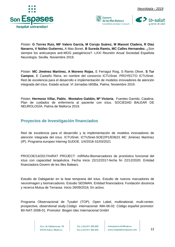





Póster: **G Torres Ruiz, MF Valero García, M Corujo Suárez, M Massot Cladera, R Díaz Navarro, V Núñez Gutierrez,** A Mas Bonet, **B Sureda Ramis, MC Calles Hernandez.** ¿Son siempre los anticuerpos anti-MOG patogénicos?. LXXI Reunión Anual Sociedad Española Neurología. Sevilla. Noviembre 2019.

Póster: **MC Jiménez Martínez, A Moreno Rojas**, E Ferragut Roig, S Ramis Oliver, **S Tur Campos**, E Castaño Riera, en nombre del consorcio ICTUSnet. PROYECTO ICTUSnet. Red de excelencia para el desarrollo e implementación de modelos innovadores de atención integrada del ictus. Estado actual. VI Jornadas IdISBa. Palma. Noviembre 2019.

Póster; **Hermoso Villar, Pablo. Montalvo Galdón, Mª Victoria**. Fuentes Garrido, Catalina. Plan de cuidados de enfermería al paciente con ictus. SOCIEDAD BALEAR DE NEUROLOGÍA. Palma de Mallorca 2019.

#### <span id="page-12-0"></span>**Proyectos de Investigación financiados**

Red de excelencia para el desarrollo y la implementación de modelos innovadores de atención integrada del ictus. ICTUSnet. ICTUSnet-SOE2/P1/E0623. MC Jiménez Martínez (IP). Programa europeo Interreg SUDOE. 1/4/2018-31/03/2021

PROCOE/14/2017/miRAT PROJECT: miRNAs-Biomarcadores de pronóstico funcional del ictus con capacidad terapéutica. Fecha inicio 22/12/2017-fecha fin 22/12/2020. Entidad financiadora Govern de les Illes Balears.

Estudio de Dabigatrán en la fase temprana del ictus. Estudio de nuevos marcadores de neuroimagen y biomarcadores. Estudio SEDMAN. Entidad financiadora: Fundación docencia y recerca Mutua de Terrassa. Inicio 26/09/2016. En activo.

Programa Observacional de Tysabri (TOP). Open Label, multinational, multi-center, prospective, observtional study.Código internacional: IMA-06-02. Código español promotor: BII-NAT-2008-01. Promotor: Biogen Idec Internacional GmbH

> Ctra, de Valldemossa, 79 07010 Palma. Mallorca

Tel. (+34) 871 205 000 Fax (+34) 871 205 500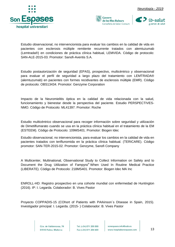





Estudio observacional, no intervencionista para evaluar los cambios en la calidad de vida en pacientes con esclerosis múltiple remitente recurrente tratados con alemtuzumab (Lemtrada®) en condiciones de práctica clínica habitual, LEMVIDA. Código de protocolo: SAN-ALE-2015-03. Promotor: Sanofi-Aventis S.A.

Estudio postautorización de seguridad (EPAS), prospectivo, multicéntrico y observacional para evaluar el perfil de seguridad a largo plazo del tratamiento con LEMTRADA® (alemtuzumab) en pacientes con formes recidivantes de esclerosis múltiple (EMR). Código de protocolo: OBS13434. Promotor: Genzyme Corporation

Impacto de la Neuromielitis óptica en la calidad de vida relacionada con la salud, funcionamiento y bienestar desde la perspectiva del paciente. Estudio PERSPECTIVES-NMO. Código de Protocolo: ML41397. Promotor: Roche

Estudio multicéntrico observacional para recoger información sobre seguridad y utilización de Dimetilfumarato cuando se usa en la práctica clínica habitual en el tratamiento de la EM (ESTEEM). Código de Protocolo: 109MS401. Promotor: Biogen Idec

Estudio observacional, no intervencionista, para evaluar los cambios en la calidad de vida en pacientes tratados con teriflunomida en la práctica clínica habitual. (TERICARE). Código promotor: SAN-TER-2015-02. Promotor: Genzyme, Sanofi Company

A Multicenter, Multinational, Observational Study to Collect Information on Safety and to Document the Drug Utilization of Fampyra® When Used In Routine Medical Practice (LIBERATE). Código de Protocolo: 218MS401. Promotor: Biogen Idec MA Inc

ENROLL-HD: Registro prospectivo en una cohorte mundial con enfermedad de Huntington (2016). IP: I. Legarda. Colaborador: B. Vives Pastor

Proyecto COPPADIS-15 (COhort of Patients with PArkinson´s DIsease in Spain, 2015). Investigador principal: I. Legarda. (2015- ) Colaborador: B. Vives Pastor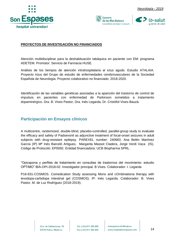





#### **PROYECTOS DE INVESTIGACIÓN NO FINANCIADOS**

Atención multidisciplinar para la deshabituación tabáquica en paciente con EM: programa ADETEM. Promotor: Servicio de Farmacia HUSE.

Análisis de los tiempos de atención intrahospitalaria al ictus agudo. Estudio ATALAIA. Proyecto Ictus del Grupo de estudio de enfermedades cerebrovasculares de la Sociedad Española de Neurología. Proyecto colaborativo no financiado. 2018-2020.

Identificación de las variables genéticas asociadas a la aparición del trastorno de control de impulsos en pacientes con enfermedad de Parkinson sometidos a tratamiento dopaminérgico. Dra. B. Vives Pastor, Dra. Inés Legarda, Dr. Cristòfol Vives-Bauzà.

#### <span id="page-14-0"></span>**Participación en Ensayos clínicos**

A multicentre, randomized, double-blind, placebo-controlled, parallel-group study to evaluate the efficacy and safety of Padsevonil as adjunctive treatment of focal-onset seizures in adult subjects with drug-resistant epilepsy. PAREXEL number: 240683. Ana Belén Martínez García (IP) Mª Inés Barceló Artigues, Margarita Massot Cladera, Jorge Verdi Vaca (IS). Código de Protocolo: EP0092. Entidad financiadora: UCB Biopharma SPRL.

"Opicapona y perfiles de tratamiento en consultas de trastornos del movimiento: estudio OPTIMO" BIA-OPI-2018-02. Investigador principal. B Vives. Colaborador: I. Legarda

P16-831-COSMOS. Comedication Study assessing Mono and cOmbinationa therapy with levodopa-carbidopa intestinal gel (COSMOS). IP: Inés Legarda. Colaborador: B. Vives Pastor, M. de Luz Rodríguez (2018-2019).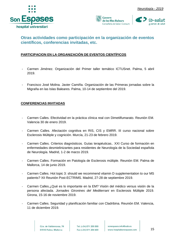





#### <span id="page-15-0"></span>**Otras actividades como participación en la organización de eventos científicos, conferencias invitadas, etc.**

#### **PARTICIPACION EN LA ORGANIZACIÓN DE EVENTOS CIENTÍFICOS**

- Carmen Jiménez. Organización del Primer taller temático ICTUSnet. Palma, 5 abril 2019.
- Francisco José Molina. Javier Camiña. Organización de las Primeras jornadas sobre la Migraña en las Islas Baleares. Palma, 10-14 de septiembre del 2019.

#### **CONFERENCIAS INVITADAS**

- Carmen Calles. Efectividad en la práctica clínica real con Dimetilfumarato. Reunión EM. Valencia 30 de enero 2019.
- Carmen Calles. Afectación cognitiva en RIS, CIS y EMRR. III curso nacional sobre Esclerosis Múltiple y cognición. Murcía, 21-23 de febrero 2019.
- Carmen Calles. Criterios diagnósticos. Guías terapéuticas.. XXI Curso de formación en enfermedades desmielinizantes para residentes de Neurología de la Sociedad española de Neurología. Madrid, 1-2 de marzo 2019.
- Carmen Calles. Formación en Patología de Esclerosis múltiple. Reunión EM. Palma de Mallorca, 14 de junio 2019.
- Carmen Calles. Hot topic 3: should we recommend vitamin D supplementation to our MS patients? XII Reunión Post-ECTRIMS. Madrid, 27-28 de septiembre 2019.
- Carmen Calles.¿Qué es lo importante en la EM? Visión del médico versus visión de la persona afectada. *Jornades Gironines del Mediterrani* en Esclerosis Múltiple 2019. Girona, 15-16 de noviembre 2019.
- Carmen Calles. Seguridad y planificación familiar con Cladribina. Reunión EM. Valencia, 11 de diciembre 2019.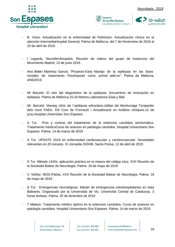





- B. Vives. Actualización en la enfermedad de Parkinson. Actualización clínica en la atención intermediaHospital General. Palma de Mallorca, del 7 de Noviembre de 2018 al 10 de abril de 2019.
- I Legarda. Neuroferritinopatía. Reunión de videos del grupo de trastornos del Movimiento Madrid, 13 de junio 2019.
- Ana Belén Martínez García. "Proyecto Early Manejo de la epilepsia en las fases iniciales de tratamiento. Perampanel como primer add-on". Palma de Mallorca, 4/06/2019.
- MI Barceló. El reto del diagnóstico de la epilepsia. Encuentros de innovación en epilepsia. Palma de Mallorca,15-16 febrero.Laboratorios Eisai y Bial.
- MI. Barceló. Maneig clínic de l´epilèpsia refractària.Utilitat del Monitoratge Terapeútic dels nous FAES. XIII Curs de Formació i Actualització en Anàlisis clíniques.12 de juny.Hospital Universitari Son Espases
- S Tur. Pros y contras del tratamiento de la estenosis carotídea asintomática. Tratamiento médicoCurso de avances en patología carotídea. Hospital Universitario Son Espases. Palma. 14 de marzo de 2019
- S Tur. UPDATE 2018 en enfermedad cardiovascular y cerebrovascular. Novedades relevantes en 20 minutos. XI Jornadas SOHIB. Santa Ponsa. 12 de abril de 2019
- S Tur. Método LEAN, aplicación práctica en la mejora del código ictus. XVII Reunión de la Sociedad Balear de Neurología. Palma. 18 de mayo de 2019
- V. Núñez. MOG-Patías. XVII Reunión de la Sociedad Balear de Neurología. Palma. 18 de mayo de 2019
- S Tur. Emergencias neurológicas. Máster de emergencias extrahospitalarias en Islas Baleares. Organizado por la Universidat de Vic. Universitat Central de Catalunya. 3 horas lectivas. Palma. 20 de diciembre de 2019
- T Mateos. Tratamiento médico óptimo en la estenosis carotídea. Curso de avances en patología carotídea. Hospital Universitario Son Espases. Palma. 14 de marzo de 2019